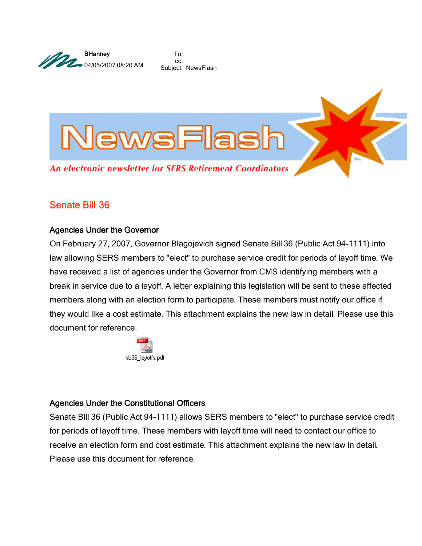

To: cc: Subject: NewsFlash



## Senate Bill 36

## Agencies Under the Governor

On February 27, 2007, Governor Blagojevich signed Senate Bill 36 (Public Act 94-1111) into law allowing SERS members to "elect" to purchase service credit for periods of layoff time. We have received a list of agencies under the Governor from CMS identifying members with a break in service due to a layoff. A letter explaining this legislation will be sent to these affected members along with an election form to participate. These members must notify our office if they would like a cost estimate. This attachment explains the new law in detail. Please use this document for reference.



## Agencies Under the Constitutional Officers

Senate Bill 36 (Public Act 94-1111) allows SERS members to "elect" to purchase service credit for periods of layoff time. These members with layoff time will need to contact our office to receive an election form and cost estimate. This attachment explains the new law in detail. Please use this document for reference.